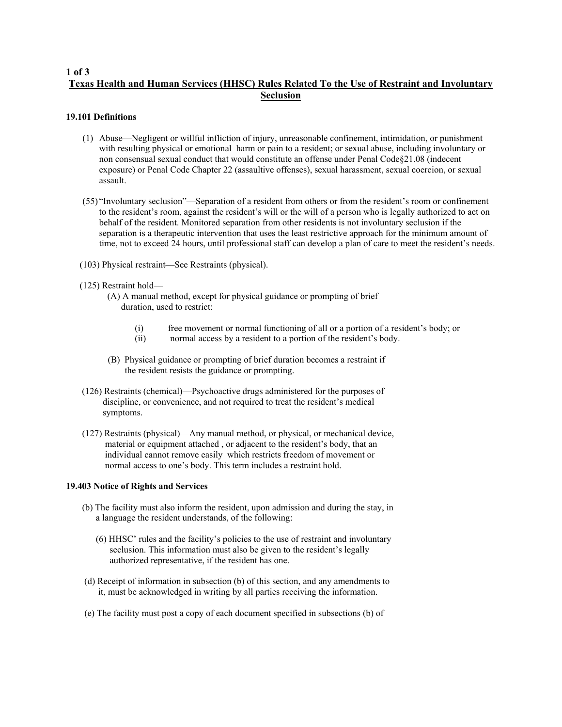# **1 of 3 Texas Health and Human Services (HHSC) Rules Related To the Use of Restraint and Involuntary Seclusion**

## **19.101 Definitions**

- (1) Abuse—Negligent or willful infliction of injury, unreasonable confinement, intimidation, or punishment with resulting physical or emotional harm or pain to a resident; or sexual abuse, including involuntary or non consensual sexual conduct that would constitute an offense under Penal Code§21.08 (indecent exposure) or Penal Code Chapter 22 (assaultive offenses), sexual harassment, sexual coercion, or sexual assault.
- (55) "Involuntary seclusion"—Separation of a resident from others or from the resident's room or confinement to the resident's room, against the resident's will or the will of a person who is legally authorized to act on behalf of the resident. Monitored separation from other residents is not involuntary seclusion if the separation is a therapeutic intervention that uses the least restrictive approach for the minimum amount of time, not to exceed 24 hours, until professional staff can develop a plan of care to meet the resident's needs.
- (103) Physical restraint—See Restraints (physical).
- (125) Restraint hold—
	- (A) A manual method, except for physical guidance or prompting of brief duration, used to restrict:
		- (i) free movement or normal functioning of all or a portion of a resident's body; or
		- (ii) normal access by a resident to a portion of the resident's body.
	- (B) Physical guidance or prompting of brief duration becomes a restraint if the resident resists the guidance or prompting.
- (126) Restraints (chemical)—Psychoactive drugs administered for the purposes of discipline, or convenience, and not required to treat the resident's medical symptoms.
- (127) Restraints (physical)—Any manual method, or physical, or mechanical device, material or equipment attached , or adjacent to the resident's body, that an individual cannot remove easily which restricts freedom of movement or normal access to one's body. This term includes a restraint hold.

### **19.403 Notice of Rights and Services**

- (b) The facility must also inform the resident, upon admission and during the stay, in a language the resident understands, of the following:
	- (6) HHSC' rules and the facility's policies to the use of restraint and involuntary seclusion. This information must also be given to the resident's legally authorized representative, if the resident has one.
- (d) Receipt of information in subsection (b) of this section, and any amendments to it, must be acknowledged in writing by all parties receiving the information.
- (e) The facility must post a copy of each document specified in subsections (b) of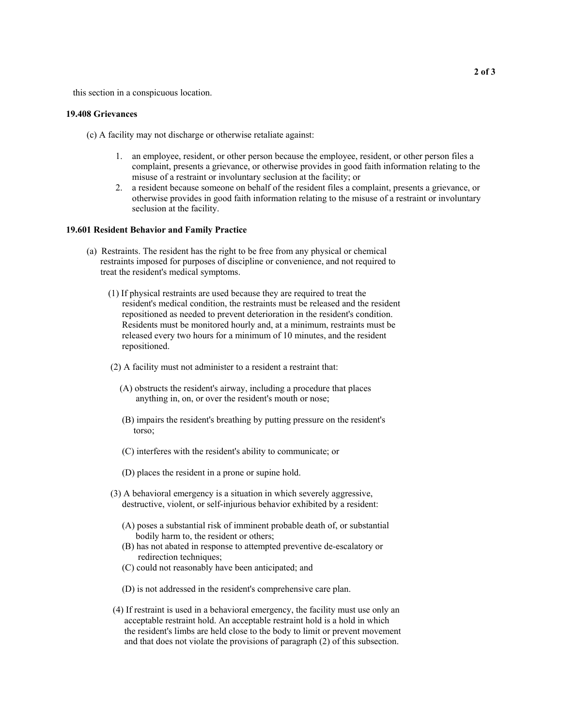this section in a conspicuous location.

#### **19.408 Grievances**

(c) A facility may not discharge or otherwise retaliate against:

- 1. an employee, resident, or other person because the employee, resident, or other person files a complaint, presents a grievance, or otherwise provides in good faith information relating to the misuse of a restraint or involuntary seclusion at the facility; or
- 2. a resident because someone on behalf of the resident files a complaint, presents a grievance, or otherwise provides in good faith information relating to the misuse of a restraint or involuntary seclusion at the facility.

#### **19.601 Resident Behavior and Family Practice**

- (a) Restraints. The resident has the right to be free from any physical or chemical restraints imposed for purposes of discipline or convenience, and not required to treat the resident's medical symptoms.
	- (1) If physical restraints are used because they are required to treat the resident's medical condition, the restraints must be released and the resident repositioned as needed to prevent deterioration in the resident's condition. Residents must be monitored hourly and, at a minimum, restraints must be released every two hours for a minimum of 10 minutes, and the resident repositioned.
	- (2) A facility must not administer to a resident a restraint that:
		- (A) obstructs the resident's airway, including a procedure that places anything in, on, or over the resident's mouth or nose;
		- (B) impairs the resident's breathing by putting pressure on the resident's torso;
		- (C) interferes with the resident's ability to communicate; or
		- (D) places the resident in a prone or supine hold.
	- (3) A behavioral emergency is a situation in which severely aggressive, destructive, violent, or self-injurious behavior exhibited by a resident:
		- (A) poses a substantial risk of imminent probable death of, or substantial bodily harm to, the resident or others;
		- (B) has not abated in response to attempted preventive de-escalatory or redirection techniques;
		- (C) could not reasonably have been anticipated; and
		- (D) is not addressed in the resident's comprehensive care plan.
	- (4) If restraint is used in a behavioral emergency, the facility must use only an acceptable restraint hold. An acceptable restraint hold is a hold in which the resident's limbs are held close to the body to limit or prevent movement and that does not violate the provisions of paragraph (2) of this subsection.